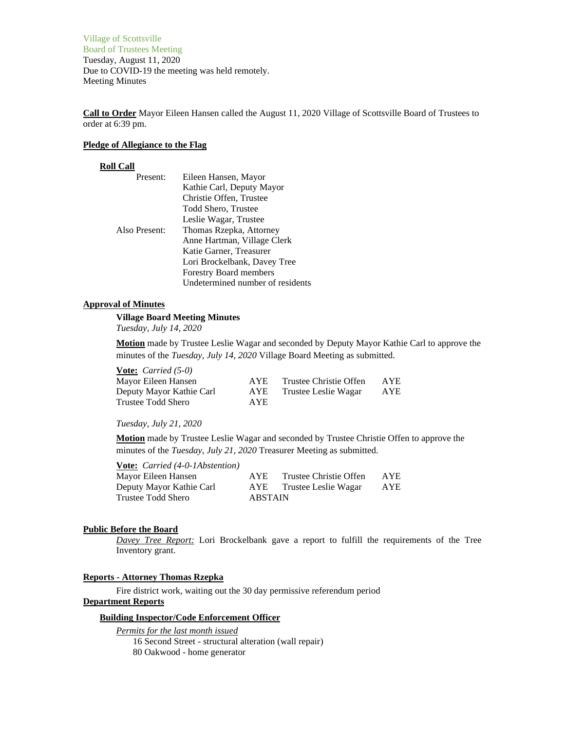Village of Scottsville Board of Trustees Meeting Tuesday, August 11, 2020 Due to COVID-19 the meeting was held remotely. Meeting Minutes

**Call to Order** Mayor Eileen Hansen called the August 11, 2020 Village of Scottsville Board of Trustees to order at 6:39 pm.

### **Pledge of Allegiance to the Flag**

## **Roll Call**

| Present:      | Eileen Hansen, Mayor             |
|---------------|----------------------------------|
|               | Kathie Carl, Deputy Mayor        |
|               | Christie Offen, Trustee          |
|               | Todd Shero, Trustee              |
|               | Leslie Wagar, Trustee            |
| Also Present: | Thomas Rzepka, Attorney          |
|               | Anne Hartman, Village Clerk      |
|               | Katie Garner, Treasurer          |
|               | Lori Brockelbank, Davey Tree     |
|               | Forestry Board members           |
|               | Undetermined number of residents |

# **Approval of Minutes**

**Village Board Meeting Minutes** *Tuesday, July 14, 2020*

**Motion** made by Trustee Leslie Wagar and seconded by Deputy Mayor Kathie Carl to approve the minutes of the *Tuesday, July 14, 2020* Village Board Meeting as submitted.

| <b><u>Vote:</u></b> <i>Carried</i> $(5-0)$ |            |                        |            |
|--------------------------------------------|------------|------------------------|------------|
| Mayor Eileen Hansen                        | AYE.       | Trustee Christie Offen | <b>AYE</b> |
| Deputy Mayor Kathie Carl                   | <b>AYE</b> | Trustee Leslie Wagar   | AYE        |
| Trustee Todd Shero                         | <b>AYE</b> |                        |            |

## *Tuesday, July 21, 2020*

**Motion** made by Trustee Leslie Wagar and seconded by Trustee Christie Offen to approve the minutes of the *Tuesday, July 21, 2020* Treasurer Meeting as submitted.

**Vote:** *Carried (4-0-1Abstention)*

| Mayor Eileen Hansen      | <b>AYE</b>     | Trustee Christie Offen | <b>AYE</b> |
|--------------------------|----------------|------------------------|------------|
| Deputy Mayor Kathie Carl | AYE            | Trustee Leslie Wagar   | AYE        |
| Trustee Todd Shero       | <b>ABSTAIN</b> |                        |            |

## **Public Before the Board**

*Davey Tree Report:* Lori Brockelbank gave a report to fulfill the requirements of the Tree Inventory grant.

### **Reports - Attorney Thomas Rzepka**

Fire district work, waiting out the 30 day permissive referendum period **Department Reports**

# **Building Inspector/Code Enforcement Officer**

*Permits for the last month issued*

16 Second Street - structural alteration (wall repair) 80 Oakwood - home generator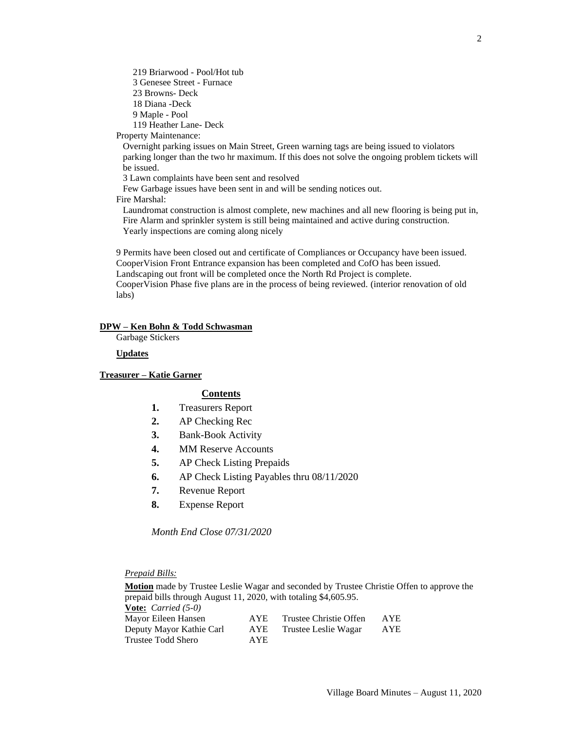219 Briarwood - Pool/Hot tub 3 Genesee Street - Furnace 23 Browns- Deck 18 Diana -Deck 9 Maple - Pool 119 Heather Lane- Deck

Property Maintenance:

Overnight parking issues on Main Street, Green warning tags are being issued to violators parking longer than the two hr maximum. If this does not solve the ongoing problem tickets will be issued.

3 Lawn complaints have been sent and resolved

Few Garbage issues have been sent in and will be sending notices out. Fire Marshal:

Laundromat construction is almost complete, new machines and all new flooring is being put in, Fire Alarm and sprinkler system is still being maintained and active during construction. Yearly inspections are coming along nicely

9 Permits have been closed out and certificate of Compliances or Occupancy have been issued. CooperVision Front Entrance expansion has been completed and CofO has been issued. Landscaping out front will be completed once the North Rd Project is complete. CooperVision Phase five plans are in the process of being reviewed. (interior renovation of old labs)

### **DPW – Ken Bohn & Todd Schwasman**

Garbage Stickers

**Updates**

**Treasurer – Katie Garner**

### **Contents**

- **1.** Treasurers Report
- **2.** AP Checking Rec
- **3.** Bank-Book Activity
- **4.** MM Reserve Accounts
- **5.** AP Check Listing Prepaids
- **6.** AP Check Listing Payables thru 08/11/2020
- **7.** Revenue Report
- **8.** Expense Report

*Month End Close 07/31/2020*

*Prepaid Bills:*

**Motion** made by Trustee Leslie Wagar and seconded by Trustee Christie Offen to approve the prepaid bills through August 11, 2020, with totaling \$4,605.95. **Vote:** *Carried (5-0)* Mayor Eileen Hansen AYE Trustee Christie Offen AYE Deputy Mayor Kathie Carl AYE Trustee Leslie Wagar AYE Trustee Todd Shero AYE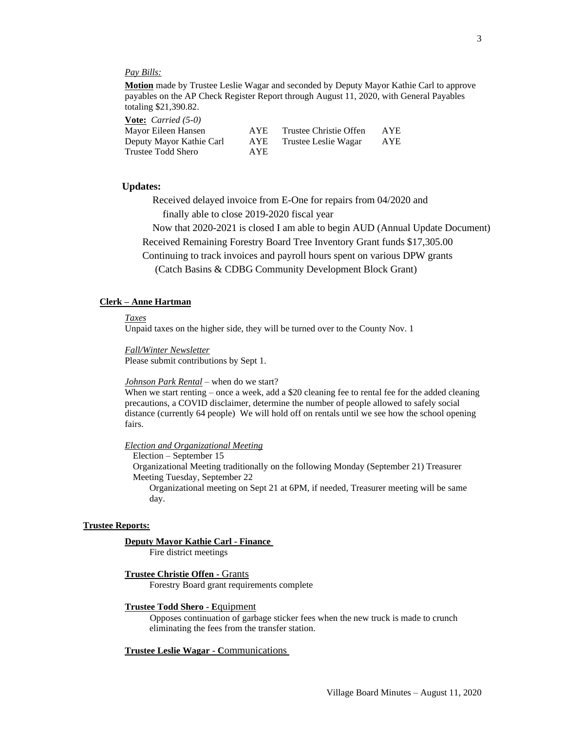## *Pay Bills:*

**Motion** made by Trustee Leslie Wagar and seconded by Deputy Mayor Kathie Carl to approve payables on the AP Check Register Report through August 11, 2020, with General Payables totaling \$21,390.82.

**Vote:** *Carried (5-0)*

| Mayor Eileen Hansen      | <b>AYE</b> | Trustee Christie Offen | AYE |
|--------------------------|------------|------------------------|-----|
| Deputy Mayor Kathie Carl | AYE        | Trustee Leslie Wagar   | AYE |
| Trustee Todd Shero       | AYE.       |                        |     |

### **Updates:**

Received delayed invoice from E-One for repairs from 04/2020 and finally able to close 2019-2020 fiscal year

Now that 2020-2021 is closed I am able to begin AUD (Annual Update Document)

Received Remaining Forestry Board Tree Inventory Grant funds \$17,305.00

Continuing to track invoices and payroll hours spent on various DPW grants

(Catch Basins & CDBG Community Development Block Grant)

### **Clerk – Anne Hartman**

*Taxes*

Unpaid taxes on the higher side, they will be turned over to the County Nov. 1

*Fall/Winter Newsletter* Please submit contributions by Sept 1.

#### *Johnson Park Rental* – when do we start?

When we start renting – once a week, add a \$20 cleaning fee to rental fee for the added cleaning precautions, a COVID disclaimer, determine the number of people allowed to safely social distance (currently 64 people) We will hold off on rentals until we see how the school opening fairs.

## *Election and Organizational Meeting*

Election – September 15 Organizational Meeting traditionally on the following Monday (September 21) Treasurer Meeting Tuesday, September 22 Organizational meeting on Sept 21 at 6PM, if needed, Treasurer meeting will be same day.

#### **Trustee Reports:**

### **Deputy Mayor Kathie Carl - Finance**

Fire district meetings

### **Trustee Christie Offen -** Grants

Forestry Board grant requirements complete

### **Trustee Todd Shero - E**quipment

Opposes continuation of garbage sticker fees when the new truck is made to crunch eliminating the fees from the transfer station.

### **Trustee Leslie Wagar - C**ommunications